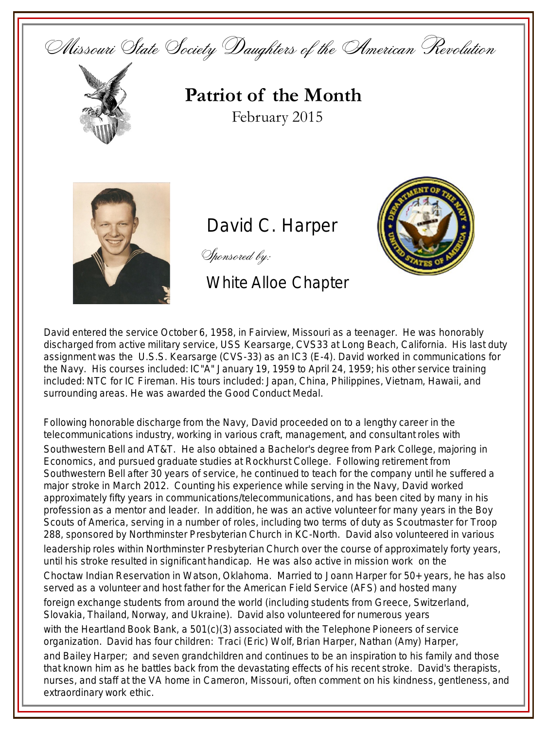Missouri State Society Daughters of the American Revolution



**Patriot of the Month** February 2015



David C. Harper

Sponsored by:

White Alloe Chapter



David entered the service October 6, 1958, in Fairview, Missouri as a teenager. He was honorably discharged from active military service, USS Kearsarge, CVS33 at Long Beach, California. His last duty assignment was the U.S.S. Kearsarge (CVS-33) as an IC3 (E-4). David worked in communications for the Navy. His courses included: IC"A" January 19, 1959 to April 24, 1959; his other service training included: NTC for IC Fireman. His tours included: Japan, China, Philippines, Vietnam, Hawaii, and surrounding areas. He was awarded the Good Conduct Medal.

Following honorable discharge from the Navy, David proceeded on to a lengthy career in the telecommunications industry, working in various craft, management, and consultant roles with Southwestern Bell and AT&T. He also obtained a Bachelor's degree from Park College, majoring in Economics, and pursued graduate studies at Rockhurst College. Following retirement from Southwestern Bell after 30 years of service, he continued to teach for the company until he suffered a major stroke in March 2012. Counting his experience while serving in the Navy, David worked approximately fifty years in communications/telecommunications, and has been cited by many in his profession as a mentor and leader. In addition, he was an active volunteer for many years in the Boy Scouts of America, serving in a number of roles, including two terms of duty as Scoutmaster for Troop 288, sponsored by Northminster Presbyterian Church in KC-North. David also volunteered in various leadership roles within Northminster Presbyterian Church over the course of approximately forty years, until his stroke resulted in significant handicap. He was also active in mission work on the Choctaw Indian Reservation in Watson, Oklahoma. Married to Joann Harper for 50+ years, he has also served as a volunteer and host father for the American Field Service (AFS) and hosted many foreign exchange students from around the world (including students from Greece, Switzerland, Slovakia, Thailand, Norway, and Ukraine). David also volunteered for numerous years with the Heartland Book Bank, a 501(c)(3) associated with the Telephone Pioneers of service organization. David has four children: Traci (Eric) Wolf, Brian Harper, Nathan (Amy) Harper, and Bailey Harper; and seven grandchildren and continues to be an inspiration to his family and those that known him as he battles back from the devastating effects of his recent stroke. David's therapists, nurses, and staff at the VA home in Cameron, Missouri, often comment on his kindness, gentleness, and extraordinary work ethic.